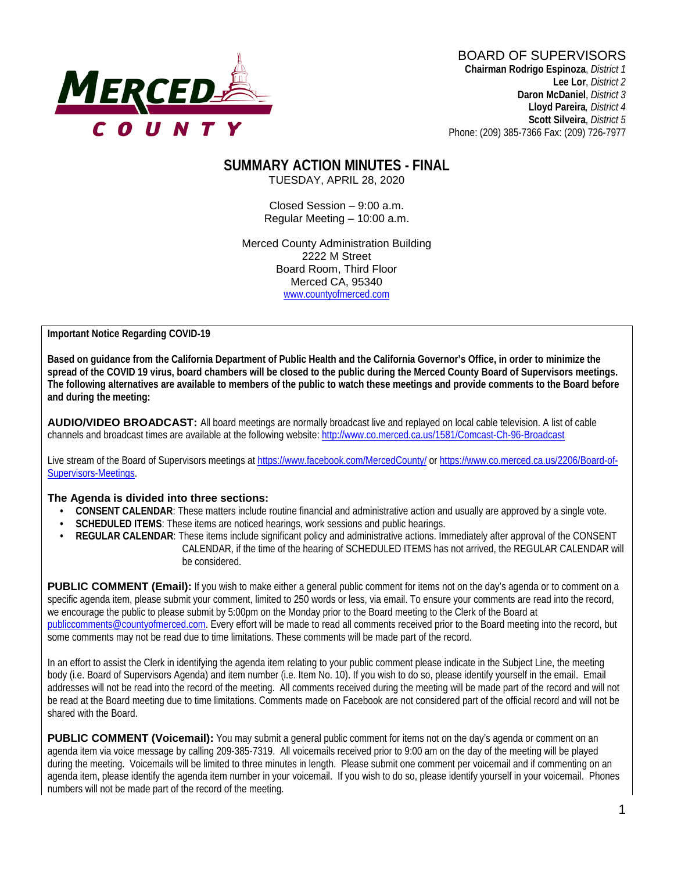

# BOARD OF SUPERVISORS

**Chairman Rodrigo Espinoza**, *District 1* **Lee Lor**, *District 2*  **Daron McDaniel**, *District 3* **Lloyd Pareira***, District 4*  **Scott Silveira**, *District 5* Phone: (209) 385-7366 Fax: (209) 726-7977

#### **SUMMARY ACTION MINUTES - FINAL** TUESDAY, APRIL 28, 2020

Closed Session – 9:00 a.m. Regular Meeting – 10:00 a.m.

Merced County Administration Building 2222 M Street Board Room, Third Floor Merced CA, 95340 www.countyofmerced.com

**Important Notice Regarding COVID-19**

**Based on guidance from the California Department of Public Health and the California Governor's Office, in order to minimize the spread of the COVID 19 virus, board chambers will be closed to the public during the Merced County Board of Supervisors meetings. The following alternatives are available to members of the public to watch these meetings and provide comments to the Board before and during the meeting:**

**AUDIO/VIDEO BROADCAST:** All board meetings are normally broadcast live and replayed on local cable television. A list of cable channels and broadcast times are available at the following website[: http://www.co.merced.ca.us/1581/Comcast-Ch-96-Broadcast](http://www.co.merced.ca.us/1581/Comcast-Ch-96-Broadcast)

Live stream of the Board of Supervisors meetings at<https://www.facebook.com/MercedCounty/> o[r https://www.co.merced.ca.us/2206/Board-of-](https://www.co.merced.ca.us/2206/Board-of-Supervisors-Meetings)[Supervisors-Meetings.](https://www.co.merced.ca.us/2206/Board-of-Supervisors-Meetings)

#### **The Agenda is divided into three sections:**

- **CONSENT CALENDAR**: These matters include routine financial and administrative action and usually are approved by a single vote.
- **SCHEDULED ITEMS:** These items are noticed hearings, work sessions and public hearings.
- **REGULAR CALENDAR:** These items include significant policy and administrative actions. Immediately after approval of the CONSENT CALENDAR, if the time of the hearing of SCHEDULED ITEMS has not arrived, the REGULAR CALENDAR will be considered.

**PUBLIC COMMENT (Email):** If you wish to make either a general public comment for items not on the day's agenda or to comment on a specific agenda item, please submit your comment, limited to 250 words or less, via email. To ensure your comments are read into the record, we encourage the public to please submit by 5:00pm on the Monday prior to the Board meeting to the Clerk of the Board at [publiccomments@countyofmerced.com.](mailto:publiccomments@countyofmerced.com) Every effort will be made to read all comments received prior to the Board meeting into the record, but some comments may not be read due to time limitations. These comments will be made part of the record.

In an effort to assist the Clerk in identifying the agenda item relating to your public comment please indicate in the Subject Line, the meeting body (i.e. Board of Supervisors Agenda) and item number (i.e. Item No. 10). If you wish to do so, please identify yourself in the email. Email addresses will not be read into the record of the meeting. All comments received during the meeting will be made part of the record and will not be read at the Board meeting due to time limitations. Comments made on Facebook are not considered part of the official record and will not be shared with the Board.

**PUBLIC COMMENT (Voicemail):** You may submit a general public comment for items not on the day's agenda or comment on an agenda item via voice message by calling 209-385-7319. All voicemails received prior to 9:00 am on the day of the meeting will be played during the meeting. Voicemails will be limited to three minutes in length. Please submit one comment per voicemail and if commenting on an agenda item, please identify the agenda item number in your voicemail. If you wish to do so, please identify yourself in your voicemail. Phones numbers will not be made part of the record of the meeting.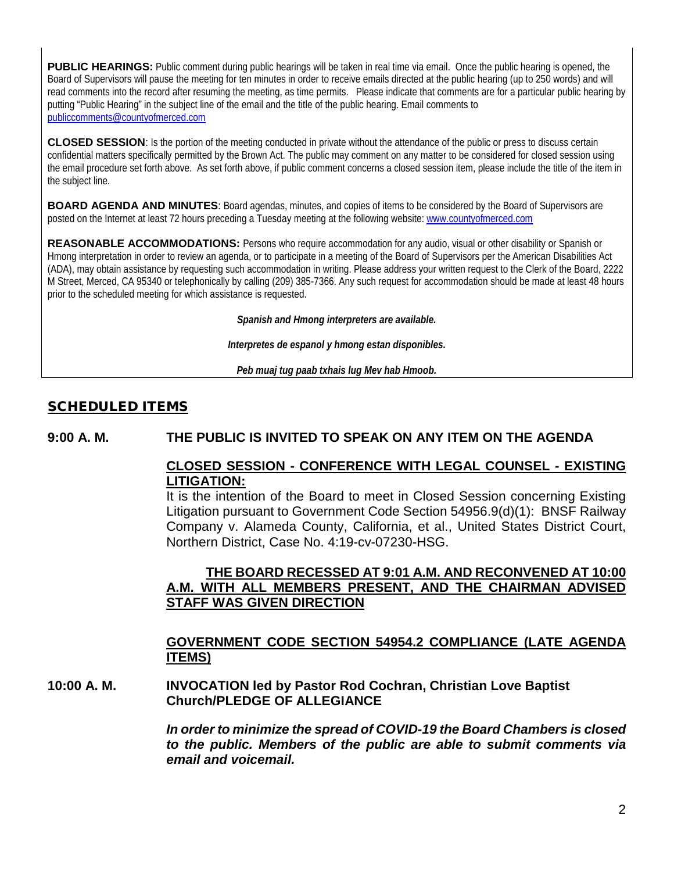PUBLIC HEARINGS: Public comment during public hearings will be taken in real time via email. Once the public hearing is opened, the Board of Supervisors will pause the meeting for ten minutes in order to receive emails directed at the public hearing (up to 250 words) and will read comments into the record after resuming the meeting, as time permits. Please indicate that comments are for a particular public hearing by putting "Public Hearing" in the subject line of the email and the title of the public hearing. Email comments to [publiccomments@countyofmerced.com](mailto:publiccomments@countyofmerced.com)

**CLOSED SESSION**: Is the portion of the meeting conducted in private without the attendance of the public or press to discuss certain confidential matters specifically permitted by the Brown Act. The public may comment on any matter to be considered for closed session using the email procedure set forth above. As set forth above, if public comment concerns a closed session item, please include the title of the item in the subject line.

**BOARD AGENDA AND MINUTES:** Board agendas, minutes, and copies of items to be considered by the Board of Supervisors are posted on the Internet at least 72 hours preceding a Tuesday meeting at the following website: www.countyofmerced.com

**REASONABLE ACCOMMODATIONS:** Persons who require accommodation for any audio, visual or other disability or Spanish or Hmong interpretation in order to review an agenda, or to participate in a meeting of the Board of Supervisors per the American Disabilities Act (ADA), may obtain assistance by requesting such accommodation in writing. Please address your written request to the Clerk of the Board, 2222 M Street, Merced, CA 95340 or telephonically by calling (209) 385-7366. Any such request for accommodation should be made at least 48 hours prior to the scheduled meeting for which assistance is requested.

*Spanish and Hmong interpreters are available.*

*Interpretes de espanol y hmong estan disponibles.*

*Peb muaj tug paab txhais lug Mev hab Hmoob.* 

## SCHEDULED ITEMS

#### **9:00 A. M. THE PUBLIC IS INVITED TO SPEAK ON ANY ITEM ON THE AGENDA**

## **CLOSED SESSION - CONFERENCE WITH LEGAL COUNSEL - EXISTING LITIGATION:**

It is the intention of the Board to meet in Closed Session concerning Existing Litigation pursuant to Government Code Section 54956.9(d)(1): BNSF Railway Company v. Alameda County, California, et al., United States District Court, Northern District, Case No. 4:19-cv-07230-HSG.

## **THE BOARD RECESSED AT 9:01 A.M. AND RECONVENED AT 10:00 A.M. WITH ALL MEMBERS PRESENT, AND THE CHAIRMAN ADVISED STAFF WAS GIVEN DIRECTION**

#### **GOVERNMENT CODE SECTION 54954.2 COMPLIANCE (LATE AGENDA ITEMS)**

**10:00 A. M. INVOCATION led by Pastor Rod Cochran, Christian Love Baptist Church/PLEDGE OF ALLEGIANCE**

> *In order to minimize the spread of COVID-19 the Board Chambers is closed to the public. Members of the public are able to submit comments via email and voicemail.*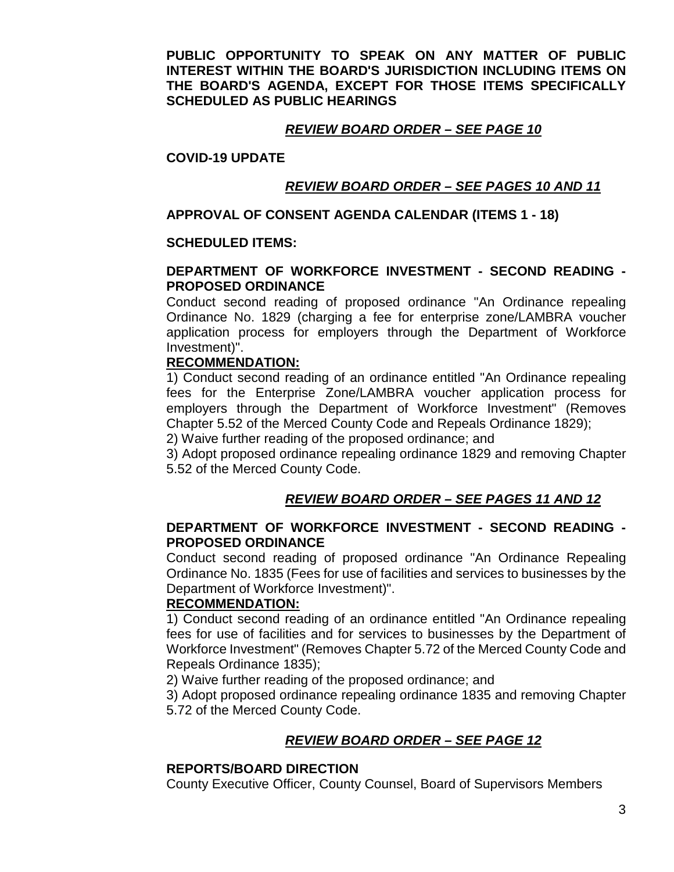**PUBLIC OPPORTUNITY TO SPEAK ON ANY MATTER OF PUBLIC INTEREST WITHIN THE BOARD'S JURISDICTION INCLUDING ITEMS ON THE BOARD'S AGENDA, EXCEPT FOR THOSE ITEMS SPECIFICALLY SCHEDULED AS PUBLIC HEARINGS** 

### *REVIEW BOARD ORDER – SEE PAGE 10*

#### **COVID-19 UPDATE**

## *REVIEW BOARD ORDER – SEE PAGES 10 AND 11*

### **APPROVAL OF CONSENT AGENDA CALENDAR (ITEMS 1 - 18)**

## **SCHEDULED ITEMS:**

#### **DEPARTMENT OF WORKFORCE INVESTMENT - SECOND READING - PROPOSED ORDINANCE**

Conduct second reading of proposed ordinance "An Ordinance repealing Ordinance No. 1829 (charging a fee for enterprise zone/LAMBRA voucher application process for employers through the Department of Workforce Investment)".

#### **RECOMMENDATION:**

1) Conduct second reading of an ordinance entitled "An Ordinance repealing fees for the Enterprise Zone/LAMBRA voucher application process for employers through the Department of Workforce Investment" (Removes Chapter 5.52 of the Merced County Code and Repeals Ordinance 1829);

2) Waive further reading of the proposed ordinance; and

3) Adopt proposed ordinance repealing ordinance 1829 and removing Chapter 5.52 of the Merced County Code.

## *REVIEW BOARD ORDER – SEE PAGES 11 AND 12*

#### **DEPARTMENT OF WORKFORCE INVESTMENT - SECOND READING - PROPOSED ORDINANCE**

Conduct second reading of proposed ordinance "An Ordinance Repealing Ordinance No. 1835 (Fees for use of facilities and services to businesses by the Department of Workforce Investment)".

#### **RECOMMENDATION:**

1) Conduct second reading of an ordinance entitled "An Ordinance repealing fees for use of facilities and for services to businesses by the Department of Workforce Investment" (Removes Chapter 5.72 of the Merced County Code and Repeals Ordinance 1835);

2) Waive further reading of the proposed ordinance; and

3) Adopt proposed ordinance repealing ordinance 1835 and removing Chapter 5.72 of the Merced County Code.

## *REVIEW BOARD ORDER – SEE PAGE 12*

#### **REPORTS/BOARD DIRECTION**

County Executive Officer, County Counsel, Board of Supervisors Members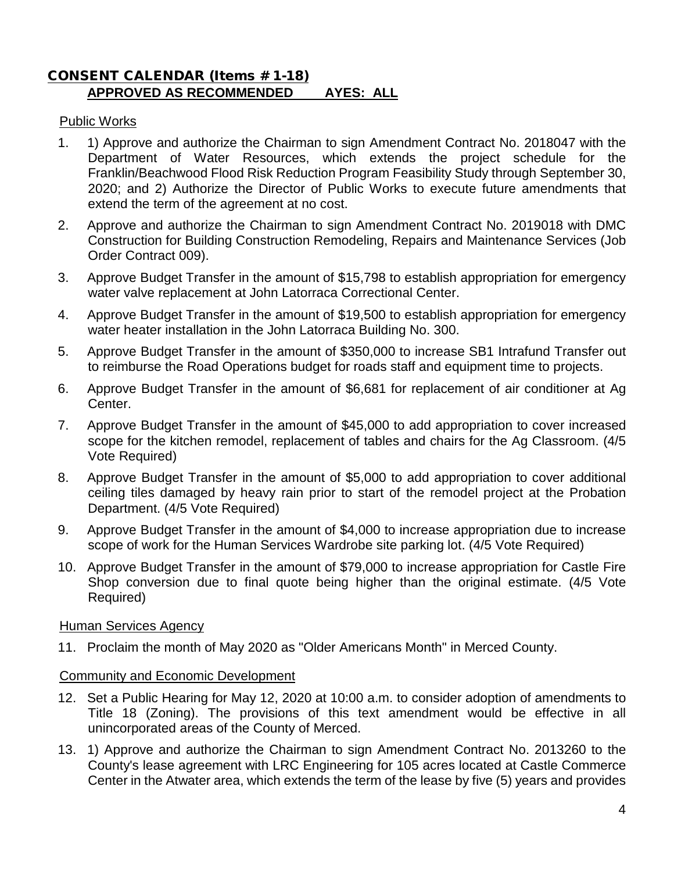## CONSENT CALENDAR (Items # 1-18) **APPROVED AS RECOMMENDED AYES: ALL**

## Public Works

- 1. 1) Approve and authorize the Chairman to sign Amendment Contract No. 2018047 with the Department of Water Resources, which extends the project schedule for the Franklin/Beachwood Flood Risk Reduction Program Feasibility Study through September 30, 2020; and 2) Authorize the Director of Public Works to execute future amendments that extend the term of the agreement at no cost.
- 2. Approve and authorize the Chairman to sign Amendment Contract No. 2019018 with DMC Construction for Building Construction Remodeling, Repairs and Maintenance Services (Job Order Contract 009).
- 3. Approve Budget Transfer in the amount of \$15,798 to establish appropriation for emergency water valve replacement at John Latorraca Correctional Center.
- 4. Approve Budget Transfer in the amount of \$19,500 to establish appropriation for emergency water heater installation in the John Latorraca Building No. 300.
- 5. Approve Budget Transfer in the amount of \$350,000 to increase SB1 Intrafund Transfer out to reimburse the Road Operations budget for roads staff and equipment time to projects.
- 6. Approve Budget Transfer in the amount of \$6,681 for replacement of air conditioner at Ag Center.
- 7. Approve Budget Transfer in the amount of \$45,000 to add appropriation to cover increased scope for the kitchen remodel, replacement of tables and chairs for the Ag Classroom. (4/5 Vote Required)
- 8. Approve Budget Transfer in the amount of \$5,000 to add appropriation to cover additional ceiling tiles damaged by heavy rain prior to start of the remodel project at the Probation Department. (4/5 Vote Required)
- 9. Approve Budget Transfer in the amount of \$4,000 to increase appropriation due to increase scope of work for the Human Services Wardrobe site parking lot. (4/5 Vote Required)
- 10. Approve Budget Transfer in the amount of \$79,000 to increase appropriation for Castle Fire Shop conversion due to final quote being higher than the original estimate. (4/5 Vote Required)

#### Human Services Agency

11. Proclaim the month of May 2020 as "Older Americans Month" in Merced County.

## Community and Economic Development

- 12. Set a Public Hearing for May 12, 2020 at 10:00 a.m. to consider adoption of amendments to Title 18 (Zoning). The provisions of this text amendment would be effective in all unincorporated areas of the County of Merced.
- 13. 1) Approve and authorize the Chairman to sign Amendment Contract No. 2013260 to the County's lease agreement with LRC Engineering for 105 acres located at Castle Commerce Center in the Atwater area, which extends the term of the lease by five (5) years and provides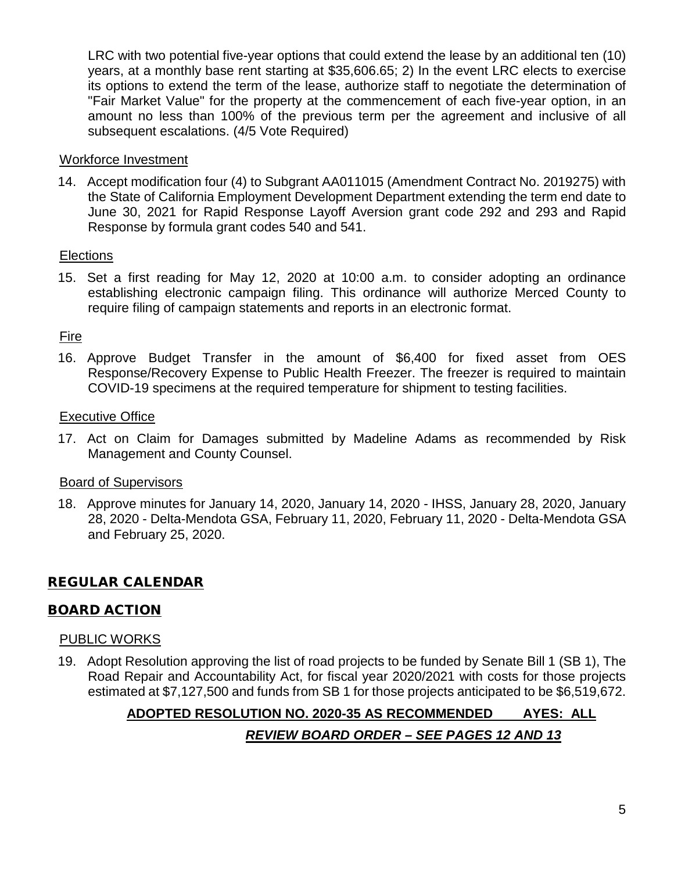LRC with two potential five-year options that could extend the lease by an additional ten (10) years, at a monthly base rent starting at \$35,606.65; 2) In the event LRC elects to exercise its options to extend the term of the lease, authorize staff to negotiate the determination of "Fair Market Value" for the property at the commencement of each five-year option, in an amount no less than 100% of the previous term per the agreement and inclusive of all subsequent escalations. (4/5 Vote Required)

### Workforce Investment

14. Accept modification four (4) to Subgrant AA011015 (Amendment Contract No. 2019275) with the State of California Employment Development Department extending the term end date to June 30, 2021 for Rapid Response Layoff Aversion grant code 292 and 293 and Rapid Response by formula grant codes 540 and 541.

## **Elections**

15. Set a first reading for May 12, 2020 at 10:00 a.m. to consider adopting an ordinance establishing electronic campaign filing. This ordinance will authorize Merced County to require filing of campaign statements and reports in an electronic format.

## Fire

16. Approve Budget Transfer in the amount of \$6,400 for fixed asset from OES Response/Recovery Expense to Public Health Freezer. The freezer is required to maintain COVID-19 specimens at the required temperature for shipment to testing facilities.

## Executive Office

17. Act on Claim for Damages submitted by Madeline Adams as recommended by Risk Management and County Counsel.

#### Board of Supervisors

18. Approve minutes for January 14, 2020, January 14, 2020 - IHSS, January 28, 2020, January 28, 2020 - Delta-Mendota GSA, February 11, 2020, February 11, 2020 - Delta-Mendota GSA and February 25, 2020.

## REGULAR CALENDAR

## BOARD ACTION

#### PUBLIC WORKS

19. Adopt Resolution approving the list of road projects to be funded by Senate Bill 1 (SB 1), The Road Repair and Accountability Act, for fiscal year 2020/2021 with costs for those projects estimated at \$7,127,500 and funds from SB 1 for those projects anticipated to be \$6,519,672.

# **ADOPTED RESOLUTION NO. 2020-35 AS RECOMMENDED AYES: ALL** *REVIEW BOARD ORDER – SEE PAGES 12 AND 13*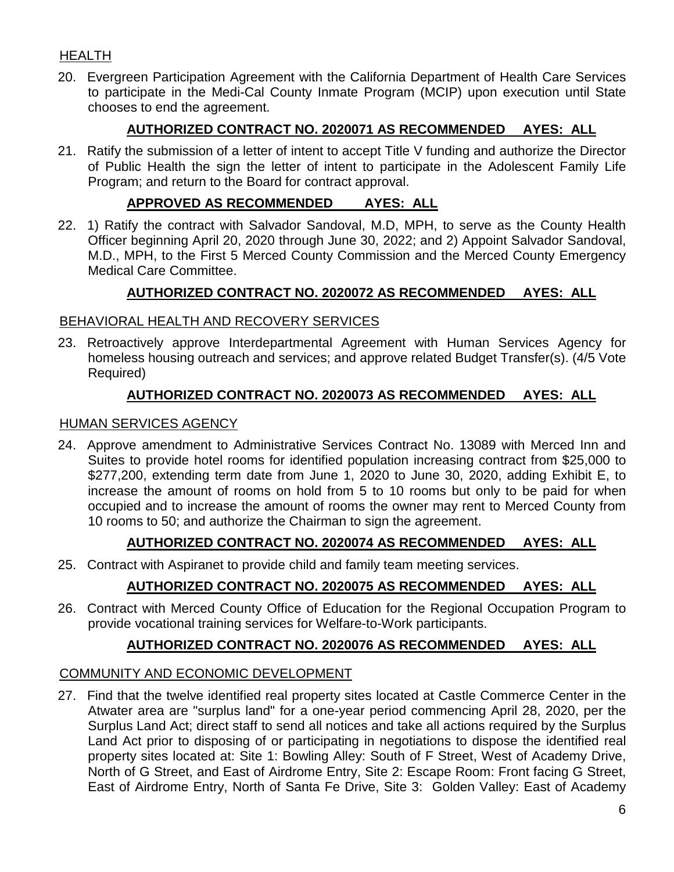## HEALTH

20. Evergreen Participation Agreement with the California Department of Health Care Services to participate in the Medi-Cal County Inmate Program (MCIP) upon execution until State chooses to end the agreement.

## **AUTHORIZED CONTRACT NO. 2020071 AS RECOMMENDED AYES: ALL**

21. Ratify the submission of a letter of intent to accept Title V funding and authorize the Director of Public Health the sign the letter of intent to participate in the Adolescent Family Life Program; and return to the Board for contract approval.

## **APPROVED AS RECOMMENDED AYES: ALL**

22. 1) Ratify the contract with Salvador Sandoval, M.D, MPH, to serve as the County Health Officer beginning April 20, 2020 through June 30, 2022; and 2) Appoint Salvador Sandoval, M.D., MPH, to the First 5 Merced County Commission and the Merced County Emergency Medical Care Committee.

## **AUTHORIZED CONTRACT NO. 2020072 AS RECOMMENDED AYES: ALL**

## BEHAVIORAL HEALTH AND RECOVERY SERVICES

23. Retroactively approve Interdepartmental Agreement with Human Services Agency for homeless housing outreach and services; and approve related Budget Transfer(s). (4/5 Vote Required)

## **AUTHORIZED CONTRACT NO. 2020073 AS RECOMMENDED AYES: ALL**

#### HUMAN SERVICES AGENCY

24. Approve amendment to Administrative Services Contract No. 13089 with Merced Inn and Suites to provide hotel rooms for identified population increasing contract from \$25,000 to \$277,200, extending term date from June 1, 2020 to June 30, 2020, adding Exhibit E, to increase the amount of rooms on hold from 5 to 10 rooms but only to be paid for when occupied and to increase the amount of rooms the owner may rent to Merced County from 10 rooms to 50; and authorize the Chairman to sign the agreement.

## **AUTHORIZED CONTRACT NO. 2020074 AS RECOMMENDED AYES: ALL**

25. Contract with Aspiranet to provide child and family team meeting services.

# **AUTHORIZED CONTRACT NO. 2020075 AS RECOMMENDED AYES: ALL**

26. Contract with Merced County Office of Education for the Regional Occupation Program to provide vocational training services for Welfare-to-Work participants.

## **AUTHORIZED CONTRACT NO. 2020076 AS RECOMMENDED AYES: ALL**

#### COMMUNITY AND ECONOMIC DEVELOPMENT

27. Find that the twelve identified real property sites located at Castle Commerce Center in the Atwater area are "surplus land" for a one-year period commencing April 28, 2020, per the Surplus Land Act; direct staff to send all notices and take all actions required by the Surplus Land Act prior to disposing of or participating in negotiations to dispose the identified real property sites located at: Site 1: Bowling Alley: South of F Street, West of Academy Drive, North of G Street, and East of Airdrome Entry, Site 2: Escape Room: Front facing G Street, East of Airdrome Entry, North of Santa Fe Drive, Site 3: Golden Valley: East of Academy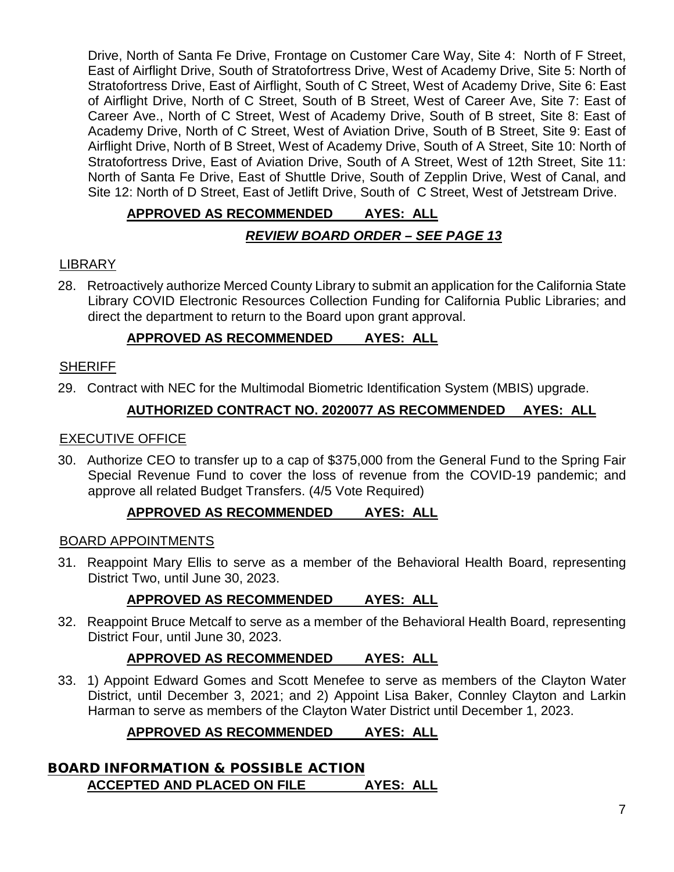Drive, North of Santa Fe Drive, Frontage on Customer Care Way, Site 4: North of F Street, East of Airflight Drive, South of Stratofortress Drive, West of Academy Drive, Site 5: North of Stratofortress Drive, East of Airflight, South of C Street, West of Academy Drive, Site 6: East of Airflight Drive, North of C Street, South of B Street, West of Career Ave, Site 7: East of Career Ave., North of C Street, West of Academy Drive, South of B street, Site 8: East of Academy Drive, North of C Street, West of Aviation Drive, South of B Street, Site 9: East of Airflight Drive, North of B Street, West of Academy Drive, South of A Street, Site 10: North of Stratofortress Drive, East of Aviation Drive, South of A Street, West of 12th Street, Site 11: North of Santa Fe Drive, East of Shuttle Drive, South of Zepplin Drive, West of Canal, and Site 12: North of D Street, East of Jetlift Drive, South of C Street, West of Jetstream Drive.

# **APPROVED AS RECOMMENDED AYES: ALL** *REVIEW BOARD ORDER – SEE PAGE 13*

# LIBRARY

28. Retroactively authorize Merced County Library to submit an application for the California State Library COVID Electronic Resources Collection Funding for California Public Libraries; and direct the department to return to the Board upon grant approval.

# **APPROVED AS RECOMMENDED AYES: ALL**

## **SHERIFF**

29. Contract with NEC for the Multimodal Biometric Identification System (MBIS) upgrade.

# **AUTHORIZED CONTRACT NO. 2020077 AS RECOMMENDED AYES: ALL**

## EXECUTIVE OFFICE

30. Authorize CEO to transfer up to a cap of \$375,000 from the General Fund to the Spring Fair Special Revenue Fund to cover the loss of revenue from the COVID-19 pandemic; and approve all related Budget Transfers. (4/5 Vote Required)

## **APPROVED AS RECOMMENDED AYES: ALL**

#### BOARD APPOINTMENTS

31. Reappoint Mary Ellis to serve as a member of the Behavioral Health Board, representing District Two, until June 30, 2023.

# **APPROVED AS RECOMMENDED AYES: ALL**

32. Reappoint Bruce Metcalf to serve as a member of the Behavioral Health Board, representing District Four, until June 30, 2023.

# **APPROVED AS RECOMMENDED AYES: ALL**

33. 1) Appoint Edward Gomes and Scott Menefee to serve as members of the Clayton Water District, until December 3, 2021; and 2) Appoint Lisa Baker, Connley Clayton and Larkin Harman to serve as members of the Clayton Water District until December 1, 2023.

# **APPROVED AS RECOMMENDED AYES: ALL**

# BOARD INFORMATION & POSSIBLE ACTION **ACCEPTED AND PLACED ON FILE AYES: ALL**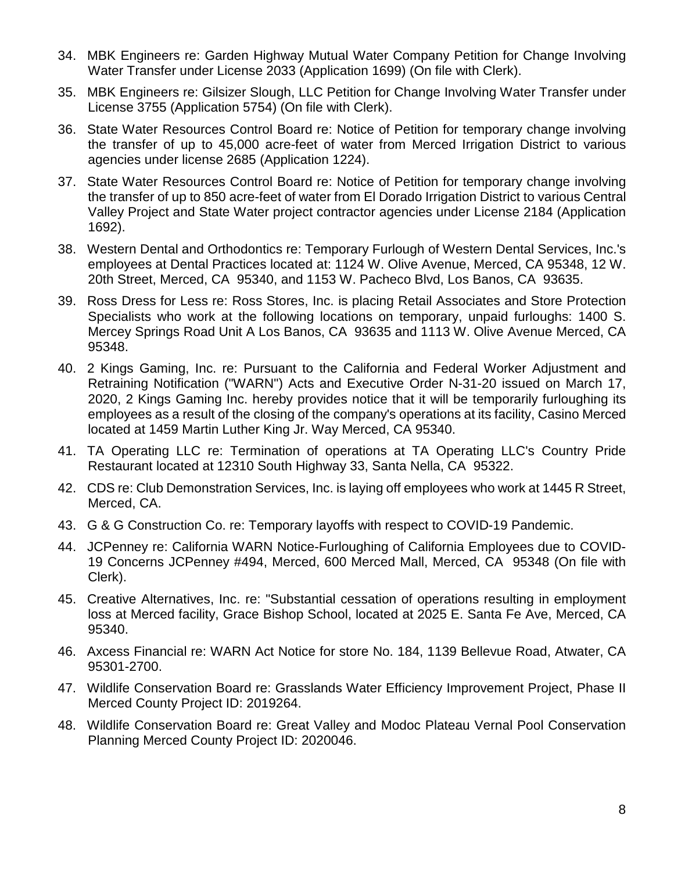- 34. MBK Engineers re: Garden Highway Mutual Water Company Petition for Change Involving Water Transfer under License 2033 (Application 1699) (On file with Clerk).
- 35. MBK Engineers re: Gilsizer Slough, LLC Petition for Change Involving Water Transfer under License 3755 (Application 5754) (On file with Clerk).
- 36. State Water Resources Control Board re: Notice of Petition for temporary change involving the transfer of up to 45,000 acre-feet of water from Merced Irrigation District to various agencies under license 2685 (Application 1224).
- 37. State Water Resources Control Board re: Notice of Petition for temporary change involving the transfer of up to 850 acre-feet of water from El Dorado Irrigation District to various Central Valley Project and State Water project contractor agencies under License 2184 (Application 1692).
- 38. Western Dental and Orthodontics re: Temporary Furlough of Western Dental Services, Inc.'s employees at Dental Practices located at: 1124 W. Olive Avenue, Merced, CA 95348, 12 W. 20th Street, Merced, CA 95340, and 1153 W. Pacheco Blvd, Los Banos, CA 93635.
- 39. Ross Dress for Less re: Ross Stores, Inc. is placing Retail Associates and Store Protection Specialists who work at the following locations on temporary, unpaid furloughs: 1400 S. Mercey Springs Road Unit A Los Banos, CA 93635 and 1113 W. Olive Avenue Merced, CA 95348.
- 40. 2 Kings Gaming, Inc. re: Pursuant to the California and Federal Worker Adjustment and Retraining Notification ("WARN") Acts and Executive Order N-31-20 issued on March 17, 2020, 2 Kings Gaming Inc. hereby provides notice that it will be temporarily furloughing its employees as a result of the closing of the company's operations at its facility, Casino Merced located at 1459 Martin Luther King Jr. Way Merced, CA 95340.
- 41. TA Operating LLC re: Termination of operations at TA Operating LLC's Country Pride Restaurant located at 12310 South Highway 33, Santa Nella, CA 95322.
- 42. CDS re: Club Demonstration Services, Inc. is laying off employees who work at 1445 R Street, Merced, CA.
- 43. G & G Construction Co. re: Temporary layoffs with respect to COVID-19 Pandemic.
- 44. JCPenney re: California WARN Notice-Furloughing of California Employees due to COVID-19 Concerns JCPenney #494, Merced, 600 Merced Mall, Merced, CA 95348 (On file with Clerk).
- 45. Creative Alternatives, Inc. re: "Substantial cessation of operations resulting in employment loss at Merced facility, Grace Bishop School, located at 2025 E. Santa Fe Ave, Merced, CA 95340.
- 46. Axcess Financial re: WARN Act Notice for store No. 184, 1139 Bellevue Road, Atwater, CA 95301-2700.
- 47. Wildlife Conservation Board re: Grasslands Water Efficiency Improvement Project, Phase II Merced County Project ID: 2019264.
- 48. Wildlife Conservation Board re: Great Valley and Modoc Plateau Vernal Pool Conservation Planning Merced County Project ID: 2020046.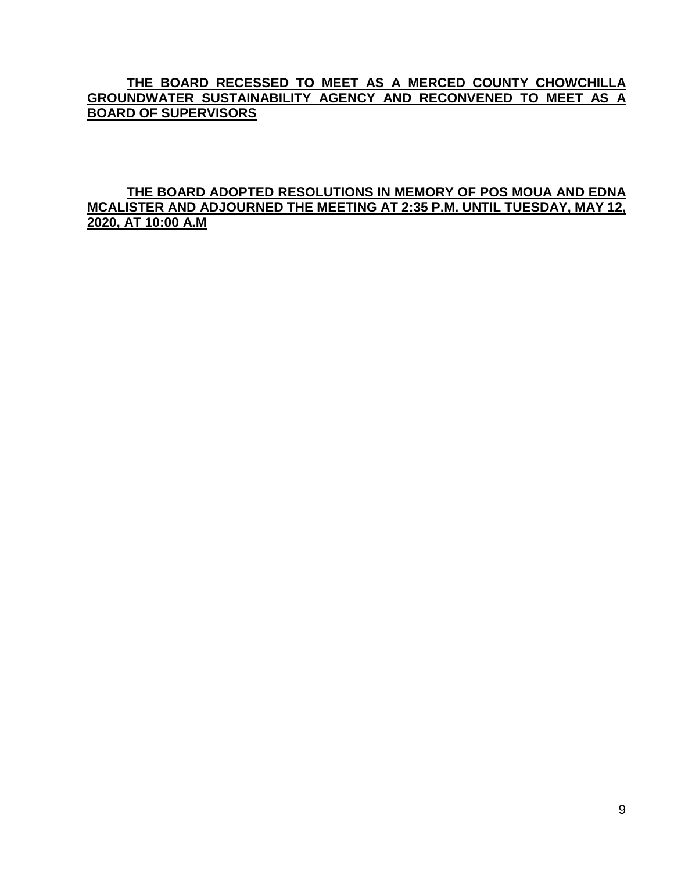## **THE BOARD RECESSED TO MEET AS A MERCED COUNTY CHOWCHILLA GROUNDWATER SUSTAINABILITY AGENCY AND RECONVENED TO MEET AS A BOARD OF SUPERVISORS**

## **THE BOARD ADOPTED RESOLUTIONS IN MEMORY OF POS MOUA AND EDNA MCALISTER AND ADJOURNED THE MEETING AT 2:35 P.M. UNTIL TUESDAY, MAY 12, 2020, AT 10:00 A.M**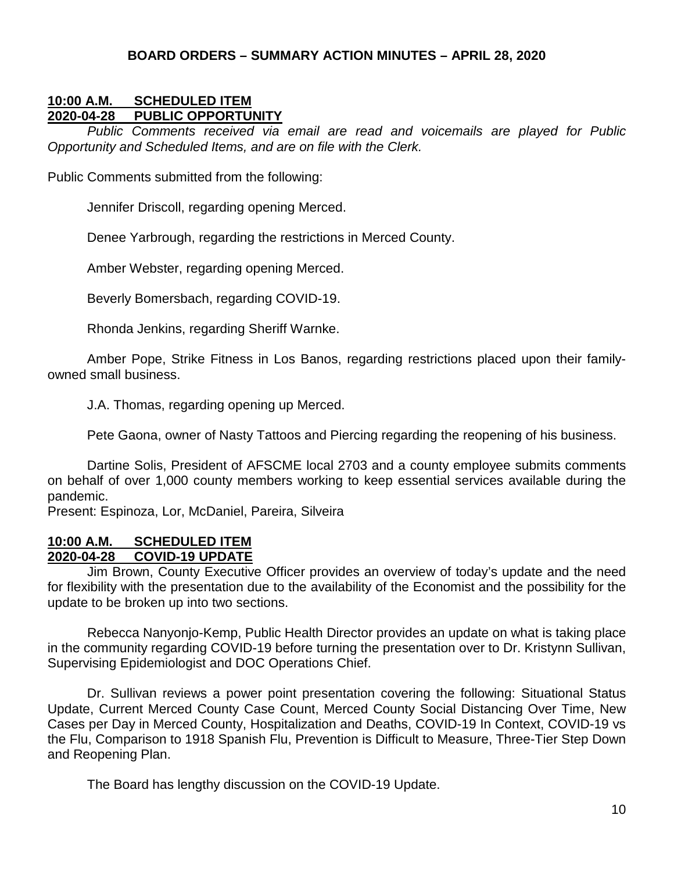#### **BOARD ORDERS – SUMMARY ACTION MINUTES – APRIL 28, 2020**

## **10:00 A.M. SCHEDULED ITEM 2020-04-28 PUBLIC OPPORTUNITY**

*Public Comments received via email are read and voicemails are played for Public Opportunity and Scheduled Items, and are on file with the Clerk.*

Public Comments submitted from the following:

Jennifer Driscoll, regarding opening Merced.

Denee Yarbrough, regarding the restrictions in Merced County.

Amber Webster, regarding opening Merced.

Beverly Bomersbach, regarding COVID-19.

Rhonda Jenkins, regarding Sheriff Warnke.

Amber Pope, Strike Fitness in Los Banos, regarding restrictions placed upon their familyowned small business.

J.A. Thomas, regarding opening up Merced.

Pete Gaona, owner of Nasty Tattoos and Piercing regarding the reopening of his business.

Dartine Solis, President of AFSCME local 2703 and a county employee submits comments on behalf of over 1,000 county members working to keep essential services available during the pandemic.

Present: Espinoza, Lor, McDaniel, Pareira, Silveira

#### **10:00 A.M. SCHEDULED ITEM 2020-04-28 COVID-19 UPDATE**

Jim Brown, County Executive Officer provides an overview of today's update and the need for flexibility with the presentation due to the availability of the Economist and the possibility for the update to be broken up into two sections.

Rebecca Nanyonjo-Kemp, Public Health Director provides an update on what is taking place in the community regarding COVID-19 before turning the presentation over to Dr. Kristynn Sullivan, Supervising Epidemiologist and DOC Operations Chief.

Dr. Sullivan reviews a power point presentation covering the following: Situational Status Update, Current Merced County Case Count, Merced County Social Distancing Over Time, New Cases per Day in Merced County, Hospitalization and Deaths, COVID-19 In Context, COVID-19 vs the Flu, Comparison to 1918 Spanish Flu, Prevention is Difficult to Measure, Three-Tier Step Down and Reopening Plan.

The Board has lengthy discussion on the COVID-19 Update.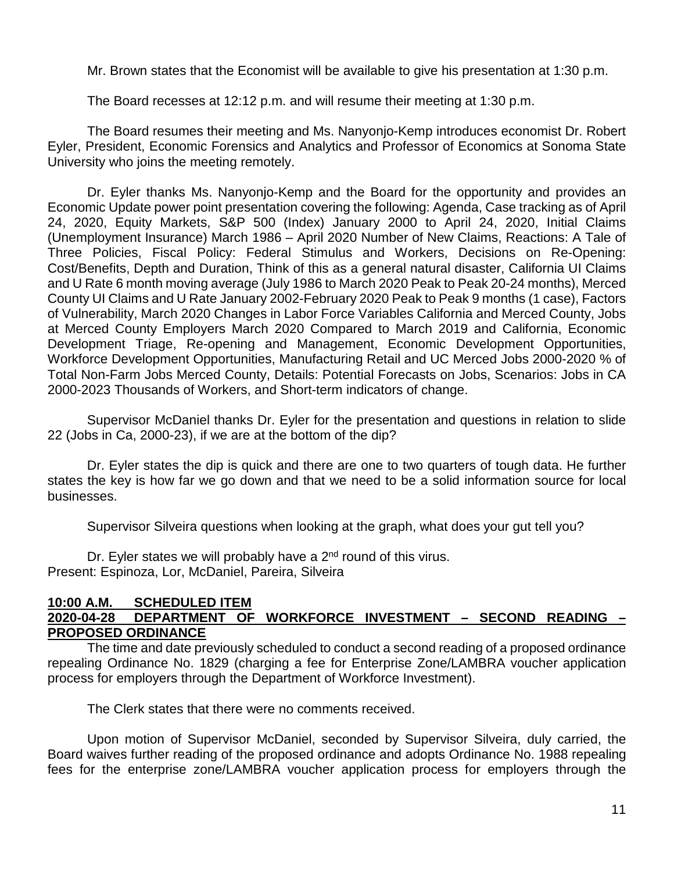Mr. Brown states that the Economist will be available to give his presentation at 1:30 p.m.

The Board recesses at 12:12 p.m. and will resume their meeting at 1:30 p.m.

The Board resumes their meeting and Ms. Nanyonjo-Kemp introduces economist Dr. Robert Eyler, President, Economic Forensics and Analytics and Professor of Economics at Sonoma State University who joins the meeting remotely.

Dr. Eyler thanks Ms. Nanyonjo-Kemp and the Board for the opportunity and provides an Economic Update power point presentation covering the following: Agenda, Case tracking as of April 24, 2020, Equity Markets, S&P 500 (Index) January 2000 to April 24, 2020, Initial Claims (Unemployment Insurance) March 1986 – April 2020 Number of New Claims, Reactions: A Tale of Three Policies, Fiscal Policy: Federal Stimulus and Workers, Decisions on Re-Opening: Cost/Benefits, Depth and Duration, Think of this as a general natural disaster, California UI Claims and U Rate 6 month moving average (July 1986 to March 2020 Peak to Peak 20-24 months), Merced County UI Claims and U Rate January 2002-February 2020 Peak to Peak 9 months (1 case), Factors of Vulnerability, March 2020 Changes in Labor Force Variables California and Merced County, Jobs at Merced County Employers March 2020 Compared to March 2019 and California, Economic Development Triage, Re-opening and Management, Economic Development Opportunities, Workforce Development Opportunities, Manufacturing Retail and UC Merced Jobs 2000-2020 % of Total Non-Farm Jobs Merced County, Details: Potential Forecasts on Jobs, Scenarios: Jobs in CA 2000-2023 Thousands of Workers, and Short-term indicators of change.

Supervisor McDaniel thanks Dr. Eyler for the presentation and questions in relation to slide 22 (Jobs in Ca, 2000-23), if we are at the bottom of the dip?

Dr. Eyler states the dip is quick and there are one to two quarters of tough data. He further states the key is how far we go down and that we need to be a solid information source for local businesses.

Supervisor Silveira questions when looking at the graph, what does your gut tell you?

Dr. Eyler states we will probably have a 2<sup>nd</sup> round of this virus. Present: Espinoza, Lor, McDaniel, Pareira, Silveira

#### **10:00 A.M. SCHEDULED ITEM 2020-04-28 DEPARTMENT OF WORKFORCE INVESTMENT – SECOND READING – PROPOSED ORDINANCE**

The time and date previously scheduled to conduct a second reading of a proposed ordinance repealing Ordinance No. 1829 (charging a fee for Enterprise Zone/LAMBRA voucher application process for employers through the Department of Workforce Investment).

The Clerk states that there were no comments received.

Upon motion of Supervisor McDaniel, seconded by Supervisor Silveira, duly carried, the Board waives further reading of the proposed ordinance and adopts Ordinance No. 1988 repealing fees for the enterprise zone/LAMBRA voucher application process for employers through the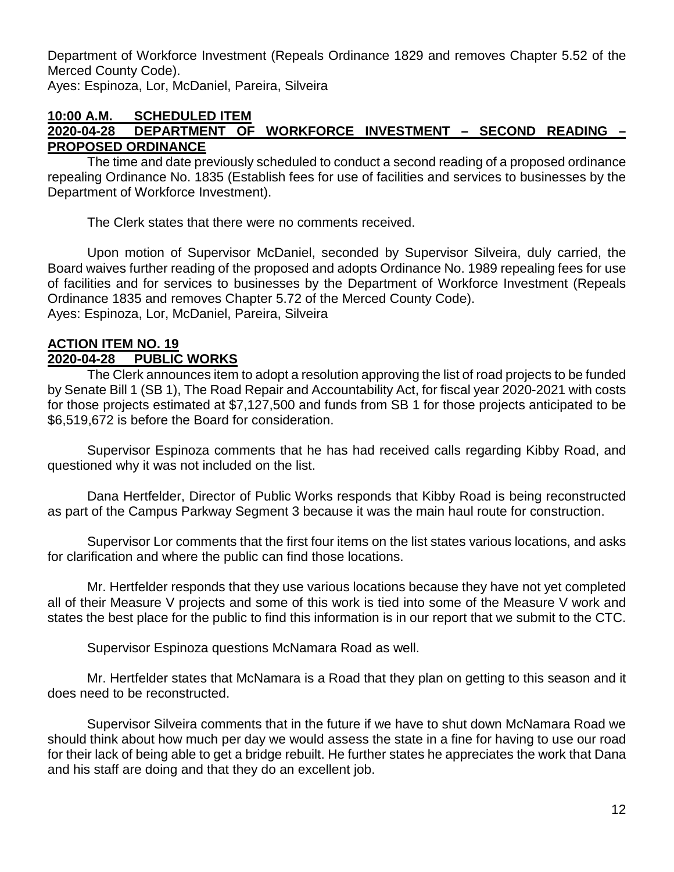Department of Workforce Investment (Repeals Ordinance 1829 and removes Chapter 5.52 of the Merced County Code). Ayes: Espinoza, Lor, McDaniel, Pareira, Silveira

#### **10:00 A.M. SCHEDULED ITEM 2020-04-28 DEPARTMENT OF WORKFORCE INVESTMENT – SECOND READING – PROPOSED ORDINANCE**

The time and date previously scheduled to conduct a second reading of a proposed ordinance repealing Ordinance No. 1835 (Establish fees for use of facilities and services to businesses by the Department of Workforce Investment).

The Clerk states that there were no comments received.

Upon motion of Supervisor McDaniel, seconded by Supervisor Silveira, duly carried, the Board waives further reading of the proposed and adopts Ordinance No. 1989 repealing fees for use of facilities and for services to businesses by the Department of Workforce Investment (Repeals Ordinance 1835 and removes Chapter 5.72 of the Merced County Code). Ayes: Espinoza, Lor, McDaniel, Pareira, Silveira

## **ACTION ITEM NO. 19 2020-04-28 PUBLIC WORKS**

The Clerk announces item to adopt a resolution approving the list of road projects to be funded by Senate Bill 1 (SB 1), The Road Repair and Accountability Act, for fiscal year 2020-2021 with costs for those projects estimated at \$7,127,500 and funds from SB 1 for those projects anticipated to be \$6,519,672 is before the Board for consideration.

Supervisor Espinoza comments that he has had received calls regarding Kibby Road, and questioned why it was not included on the list.

Dana Hertfelder, Director of Public Works responds that Kibby Road is being reconstructed as part of the Campus Parkway Segment 3 because it was the main haul route for construction.

Supervisor Lor comments that the first four items on the list states various locations, and asks for clarification and where the public can find those locations.

Mr. Hertfelder responds that they use various locations because they have not yet completed all of their Measure V projects and some of this work is tied into some of the Measure V work and states the best place for the public to find this information is in our report that we submit to the CTC.

Supervisor Espinoza questions McNamara Road as well.

Mr. Hertfelder states that McNamara is a Road that they plan on getting to this season and it does need to be reconstructed.

Supervisor Silveira comments that in the future if we have to shut down McNamara Road we should think about how much per day we would assess the state in a fine for having to use our road for their lack of being able to get a bridge rebuilt. He further states he appreciates the work that Dana and his staff are doing and that they do an excellent job.